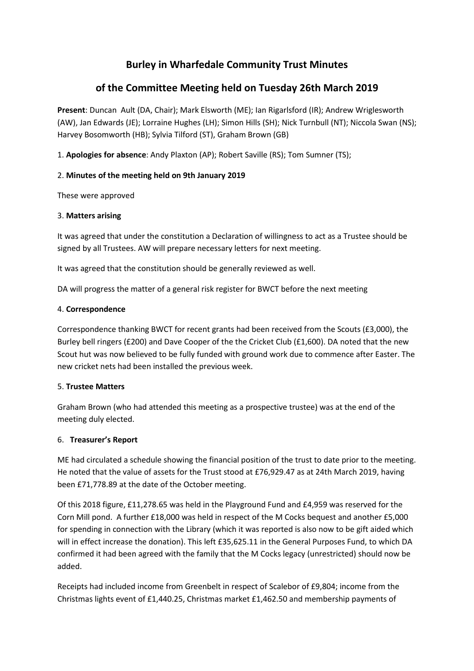# **Burley in Wharfedale Community Trust Minutes**

# **of the Committee Meeting held on Tuesday 26th March 2019**

**Present**: Duncan Ault (DA, Chair); Mark Elsworth (ME); Ian Rigarlsford (IR); Andrew Wriglesworth (AW), Jan Edwards (JE); Lorraine Hughes (LH); Simon Hills (SH); Nick Turnbull (NT); Niccola Swan (NS); Harvey Bosomworth (HB); Sylvia Tilford (ST), Graham Brown (GB)

1. **Apologies for absence**: Andy Plaxton (AP); Robert Saville (RS); Tom Sumner (TS);

# 2. **Minutes of the meeting held on 9th January 2019**

These were approved

## 3. **Matters arising**

It was agreed that under the constitution a Declaration of willingness to act as a Trustee should be signed by all Trustees. AW will prepare necessary letters for next meeting.

It was agreed that the constitution should be generally reviewed as well.

DA will progress the matter of a general risk register for BWCT before the next meeting

#### 4. **Correspondence**

Correspondence thanking BWCT for recent grants had been received from the Scouts (£3,000), the Burley bell ringers (£200) and Dave Cooper of the the Cricket Club (£1,600). DA noted that the new Scout hut was now believed to be fully funded with ground work due to commence after Easter. The new cricket nets had been installed the previous week.

## 5. **Trustee Matters**

Graham Brown (who had attended this meeting as a prospective trustee) was at the end of the meeting duly elected.

## 6. **Treasurer's Report**

ME had circulated a schedule showing the financial position of the trust to date prior to the meeting. He noted that the value of assets for the Trust stood at £76,929.47 as at 24th March 2019, having been £71,778.89 at the date of the October meeting.

Of this 2018 figure, £11,278.65 was held in the Playground Fund and £4,959 was reserved for the Corn Mill pond. A further £18,000 was held in respect of the M Cocks bequest and another £5,000 for spending in connection with the Library (which it was reported is also now to be gift aided which will in effect increase the donation). This left £35,625.11 in the General Purposes Fund, to which DA confirmed it had been agreed with the family that the M Cocks legacy (unrestricted) should now be added.

Receipts had included income from Greenbelt in respect of Scalebor of £9,804; income from the Christmas lights event of £1,440.25, Christmas market £1,462.50 and membership payments of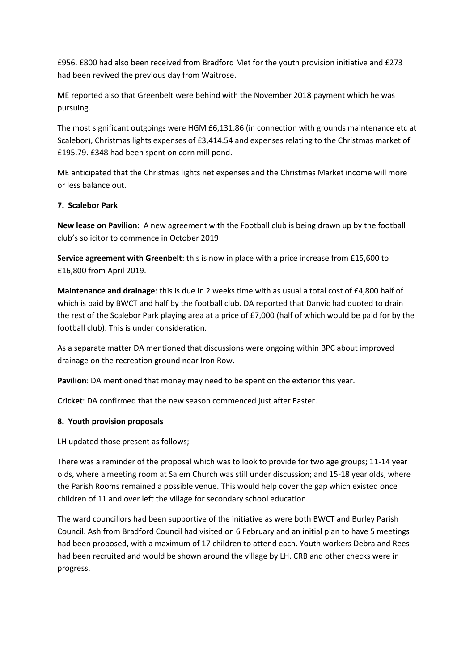£956. £800 had also been received from Bradford Met for the youth provision initiative and £273 had been revived the previous day from Waitrose.

ME reported also that Greenbelt were behind with the November 2018 payment which he was pursuing.

The most significant outgoings were HGM £6,131.86 (in connection with grounds maintenance etc at Scalebor), Christmas lights expenses of £3,414.54 and expenses relating to the Christmas market of £195.79. £348 had been spent on corn mill pond.

ME anticipated that the Christmas lights net expenses and the Christmas Market income will more or less balance out.

#### **7. Scalebor Park**

**New lease on Pavilion:** A new agreement with the Football club is being drawn up by the football club's solicitor to commence in October 2019

**Service agreement with Greenbelt**: this is now in place with a price increase from £15,600 to £16,800 from April 2019.

**Maintenance and drainage**: this is due in 2 weeks time with as usual a total cost of £4,800 half of which is paid by BWCT and half by the football club. DA reported that Danvic had quoted to drain the rest of the Scalebor Park playing area at a price of £7,000 (half of which would be paid for by the football club). This is under consideration.

As a separate matter DA mentioned that discussions were ongoing within BPC about improved drainage on the recreation ground near Iron Row.

**Pavilion**: DA mentioned that money may need to be spent on the exterior this year.

**Cricket**: DA confirmed that the new season commenced just after Easter.

#### **8. Youth provision proposals**

LH updated those present as follows;

There was a reminder of the proposal which was to look to provide for two age groups; 11-14 year olds, where a meeting room at Salem Church was still under discussion; and 15-18 year olds, where the Parish Rooms remained a possible venue. This would help cover the gap which existed once children of 11 and over left the village for secondary school education.

The ward councillors had been supportive of the initiative as were both BWCT and Burley Parish Council. Ash from Bradford Council had visited on 6 February and an initial plan to have 5 meetings had been proposed, with a maximum of 17 children to attend each. Youth workers Debra and Rees had been recruited and would be shown around the village by LH. CRB and other checks were in progress.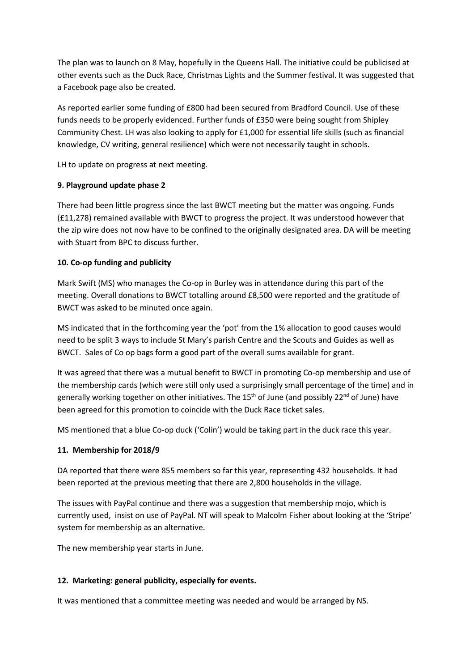The plan was to launch on 8 May, hopefully in the Queens Hall. The initiative could be publicised at other events such as the Duck Race, Christmas Lights and the Summer festival. It was suggested that a Facebook page also be created.

As reported earlier some funding of £800 had been secured from Bradford Council. Use of these funds needs to be properly evidenced. Further funds of £350 were being sought from Shipley Community Chest. LH was also looking to apply for £1,000 for essential life skills (such as financial knowledge, CV writing, general resilience) which were not necessarily taught in schools.

LH to update on progress at next meeting.

## **9. Playground update phase 2**

There had been little progress since the last BWCT meeting but the matter was ongoing. Funds (£11,278) remained available with BWCT to progress the project. It was understood however that the zip wire does not now have to be confined to the originally designated area. DA will be meeting with Stuart from BPC to discuss further.

## **10. Co-op funding and publicity**

Mark Swift (MS) who manages the Co-op in Burley was in attendance during this part of the meeting. Overall donations to BWCT totalling around £8,500 were reported and the gratitude of BWCT was asked to be minuted once again.

MS indicated that in the forthcoming year the 'pot' from the 1% allocation to good causes would need to be split 3 ways to include St Mary's parish Centre and the Scouts and Guides as well as BWCT. Sales of Co op bags form a good part of the overall sums available for grant.

It was agreed that there was a mutual benefit to BWCT in promoting Co-op membership and use of the membership cards (which were still only used a surprisingly small percentage of the time) and in generally working together on other initiatives. The  $15<sup>th</sup>$  of June (and possibly 22<sup>nd</sup> of June) have been agreed for this promotion to coincide with the Duck Race ticket sales.

MS mentioned that a blue Co-op duck ('Colin') would be taking part in the duck race this year.

#### **11. Membership for 2018/9**

DA reported that there were 855 members so far this year, representing 432 households. It had been reported at the previous meeting that there are 2,800 households in the village.

The issues with PayPal continue and there was a suggestion that membership mojo, which is currently used, insist on use of PayPal. NT will speak to Malcolm Fisher about looking at the 'Stripe' system for membership as an alternative.

The new membership year starts in June.

## **12. Marketing: general publicity, especially for events.**

It was mentioned that a committee meeting was needed and would be arranged by NS.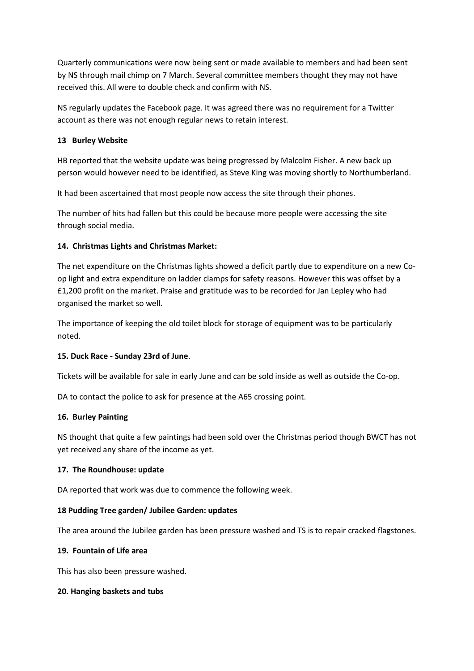Quarterly communications were now being sent or made available to members and had been sent by NS through mail chimp on 7 March. Several committee members thought they may not have received this. All were to double check and confirm with NS.

NS regularly updates the Facebook page. It was agreed there was no requirement for a Twitter account as there was not enough regular news to retain interest.

## **13 Burley Website**

HB reported that the website update was being progressed by Malcolm Fisher. A new back up person would however need to be identified, as Steve King was moving shortly to Northumberland.

It had been ascertained that most people now access the site through their phones.

The number of hits had fallen but this could be because more people were accessing the site through social media.

# **14. Christmas Lights and Christmas Market:**

The net expenditure on the Christmas lights showed a deficit partly due to expenditure on a new Coop light and extra expenditure on ladder clamps for safety reasons. However this was offset by a £1,200 profit on the market. Praise and gratitude was to be recorded for Jan Lepley who had organised the market so well.

The importance of keeping the old toilet block for storage of equipment was to be particularly noted.

## **15. Duck Race - Sunday 23rd of June**.

Tickets will be available for sale in early June and can be sold inside as well as outside the Co-op.

DA to contact the police to ask for presence at the A65 crossing point.

## **16. Burley Painting**

NS thought that quite a few paintings had been sold over the Christmas period though BWCT has not yet received any share of the income as yet.

## **17. The Roundhouse: update**

DA reported that work was due to commence the following week.

## **18 Pudding Tree garden/ Jubilee Garden: updates**

The area around the Jubilee garden has been pressure washed and TS is to repair cracked flagstones.

## **19. Fountain of Life area**

This has also been pressure washed.

## **20. Hanging baskets and tubs**